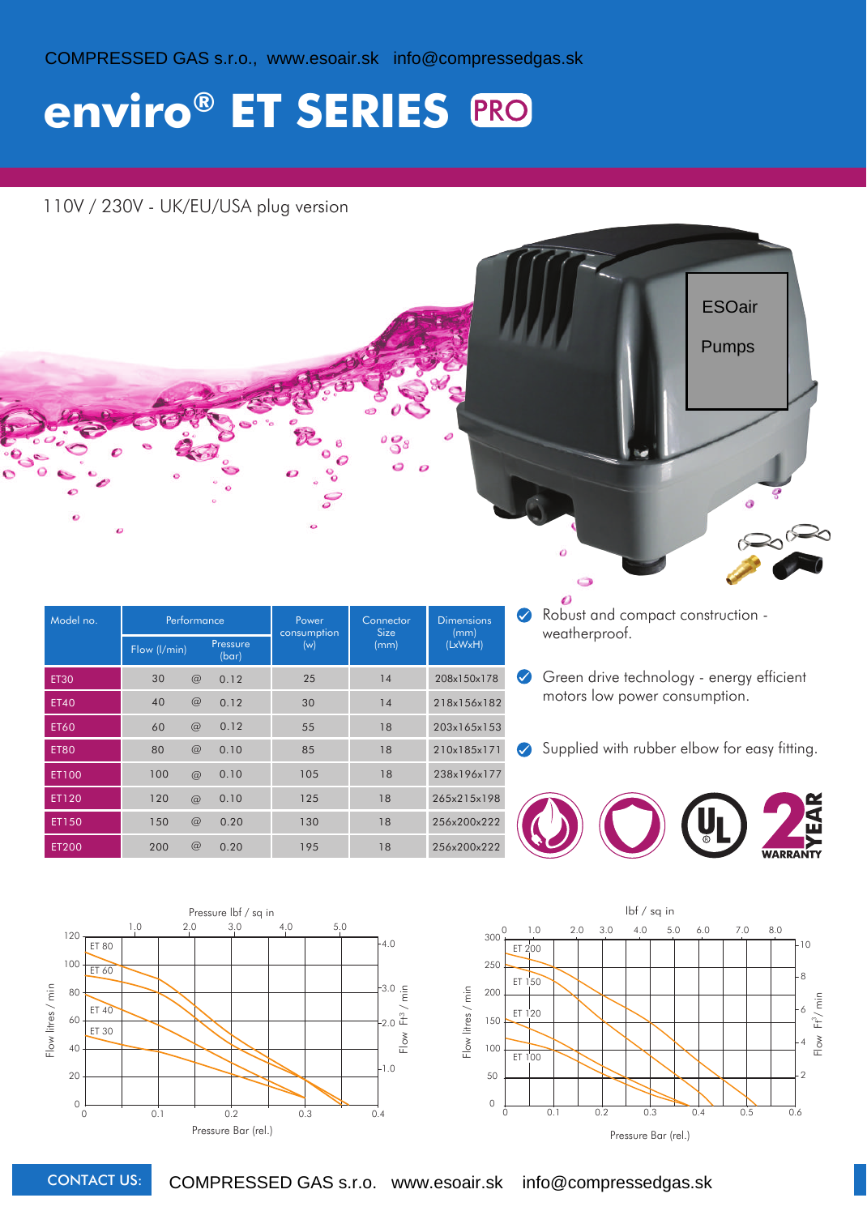COMPRESSED GAS s.r.o., www.esoair.sk info@compressedgas.sk

## **enviro® ET SERIES**

### 110V / 230V - UK/EU/USA plug version

| $\bullet$   | $\mathcal{L}$ |     |                   |                      |                   | e                         | <b>ESOair</b><br><b>Pumps</b>                                         |
|-------------|---------------|-----|-------------------|----------------------|-------------------|---------------------------|-----------------------------------------------------------------------|
| Model no.   | Performance   |     |                   | Power<br>consumption | Connector<br>Size | <b>Dimensions</b><br>(mm) | Robust and compact construction -<br>$\blacklozenge$<br>weatherproof. |
|             | Flow (l/min)  |     | Pressure<br>(bar) | (w)                  | (mm)              | (LxWxH)                   |                                                                       |
| <b>ET30</b> |               |     |                   |                      |                   |                           |                                                                       |
|             | 30            | $@$ | 0.12              | 25                   | 14                | 208x150x178               | Green drive technology - energy efficient<br>$\blacklozenge$          |
| <b>ET40</b> | 40            | $@$ | 0.12              | 30                   | 14                | 218x156x182               | motors low power consumption.                                         |
| <b>ET60</b> | 60            | $@$ | 0.12              | 55                   | 18                | 203x165x153               |                                                                       |
| <b>ET80</b> | 80            | $@$ | 0.10              | 85                   | 18                | 210x185x171               | Supplied with rubber elbow for easy fitting.<br>$\bullet$             |
| ET100       | 100           | @   | 0.10              | 105                  | 18                | 238x196x177               |                                                                       |
| ET120       | 120           | @   | 0.10              | 125                  | 18                | 265x215x198               |                                                                       |
| ET150       | 150           | @   | 0.20              | 130                  | 18                | 256x200x222               | $\blacktriangleleft$<br>m                                             |





CONTACT US: COMPRESSED GAS s.r.o. www.esoair.sk info@compressedgas.sk

0 50 100

Pressure Bar (rel.)

0 0.1 0.2 0.3 0.4 0.5 0.6

0 1.0 2.0 3.0 4.0 5.0 6.0 7.0 8.0 lbf / sq in

2

4

 $F$ low

 $Ft^3/m$ in

6

8

 $10$ 

150 200

ET 100

ET 120

**ET 150** 

ET 200

**TOTAL** 

Flow litres / min

Flow litres / min

250

 $300^{0}$